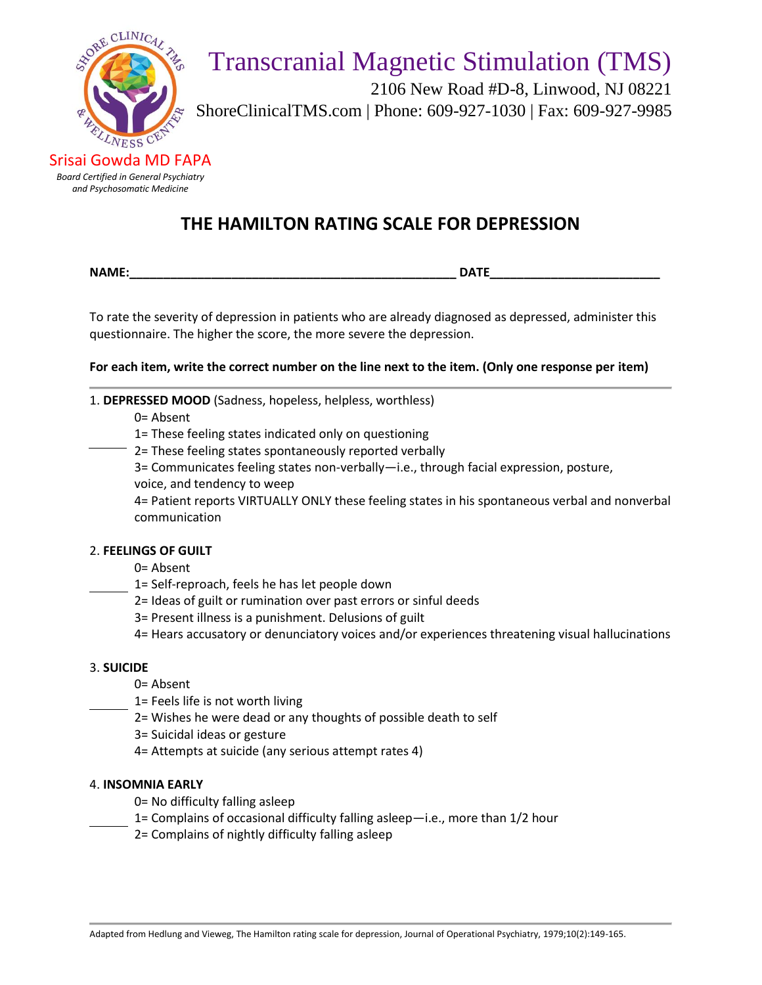

 2106 New Road #D-8, Linwood, NJ 08221 ShoreClinicalTMS.com | Phone: 609-927-1030 | Fax: 609-927-9985

Srisai Gowda MD FAPA *Board Certified in General Psychiatry and Psychosomatic Medicine*

## **THE HAMILTON RATING SCALE FOR DEPRESSION**

**NAME:\_\_\_\_\_\_\_\_\_\_\_\_\_\_\_\_\_\_\_\_\_\_\_\_\_\_\_\_\_\_\_\_\_\_\_\_\_\_\_\_\_\_\_\_\_\_\_\_ DATE\_\_\_\_\_\_\_\_\_\_\_\_\_\_\_\_\_\_\_\_\_\_\_\_\_**

To rate the severity of depression in patients who are already diagnosed as depressed, administer this questionnaire. The higher the score, the more severe the depression.

**For each item, write the correct number on the line next to the item. (Only one response per item)**

1. **DEPRESSED MOOD** (Sadness, hopeless, helpless, worthless)

0= Absent

1= These feeling states indicated only on questioning

2= These feeling states spontaneously reported verbally

3= Communicates feeling states non-verbally—i.e., through facial expression, posture,

voice, and tendency to weep

4= Patient reports VIRTUALLY ONLY these feeling states in his spontaneous verbal and nonverbal communication

## 2. **FEELINGS OF GUILT**

- 0= Absent
- 1= Self-reproach, feels he has let people down
- 2= Ideas of guilt or rumination over past errors or sinful deeds
- 3= Present illness is a punishment. Delusions of guilt

4= Hears accusatory or denunciatory voices and/or experiences threatening visual hallucinations

#### 3. **SUICIDE**

- 0= Absent
- 1= Feels life is not worth living
- 2= Wishes he were dead or any thoughts of possible death to self
- 3= Suicidal ideas or gesture
- 4= Attempts at suicide (any serious attempt rates 4)

#### 4. **INSOMNIA EARLY**

- 0= No difficulty falling asleep
- 1= Complains of occasional difficulty falling asleep—i.e., more than 1/2 hour
- 2= Complains of nightly difficulty falling asleep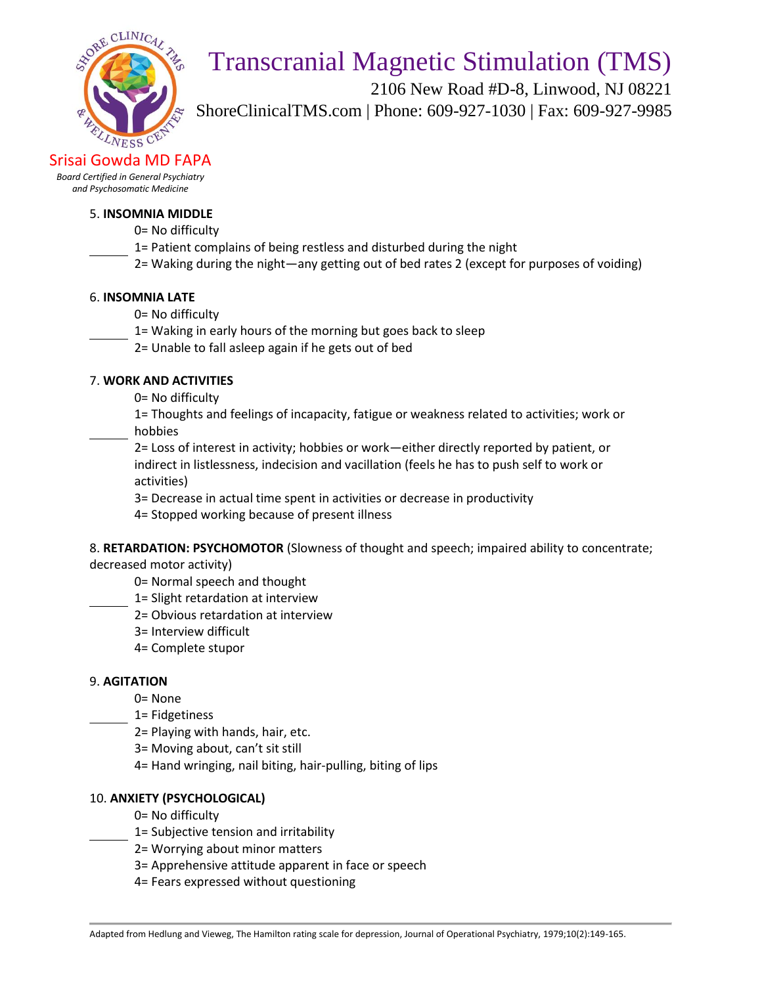

 2106 New Road #D-8, Linwood, NJ 08221 ShoreClinicalTMS.com | Phone: 609-927-1030 | Fax: 609-927-9985

Srisai Gowda MD FAPA

*Board Certified in General Psychiatry and Psychosomatic Medicine*

#### 5. **INSOMNIA MIDDLE**

- 0= No difficulty
- 1= Patient complains of being restless and disturbed during the night
- 2= Waking during the night—any getting out of bed rates 2 (except for purposes of voiding)

#### 6. **INSOMNIA LATE**

- 0= No difficulty
- 1= Waking in early hours of the morning but goes back to sleep
- 2= Unable to fall asleep again if he gets out of bed

#### 7. **WORK AND ACTIVITIES**

0= No difficulty

1= Thoughts and feelings of incapacity, fatigue or weakness related to activities; work or hobbies

2= Loss of interest in activity; hobbies or work—either directly reported by patient, or indirect in listlessness, indecision and vacillation (feels he has to push self to work or activities)

3= Decrease in actual time spent in activities or decrease in productivity

4= Stopped working because of present illness

8. **RETARDATION: PSYCHOMOTOR** (Slowness of thought and speech; impaired ability to concentrate;

decreased motor activity)

- 0= Normal speech and thought
- 1= Slight retardation at interview
- 2= Obvious retardation at interview
- 3= Interview difficult
- 4= Complete stupor

#### 9. **AGITATION**

0= None

- 1= Fidgetiness
- 2= Playing with hands, hair, etc.
- 3= Moving about, can't sit still
- 4= Hand wringing, nail biting, hair-pulling, biting of lips

#### 10. **ANXIETY (PSYCHOLOGICAL)**

- 0= No difficulty
- 1= Subjective tension and irritability
- 2= Worrying about minor matters
- 3= Apprehensive attitude apparent in face or speech
- 4= Fears expressed without questioning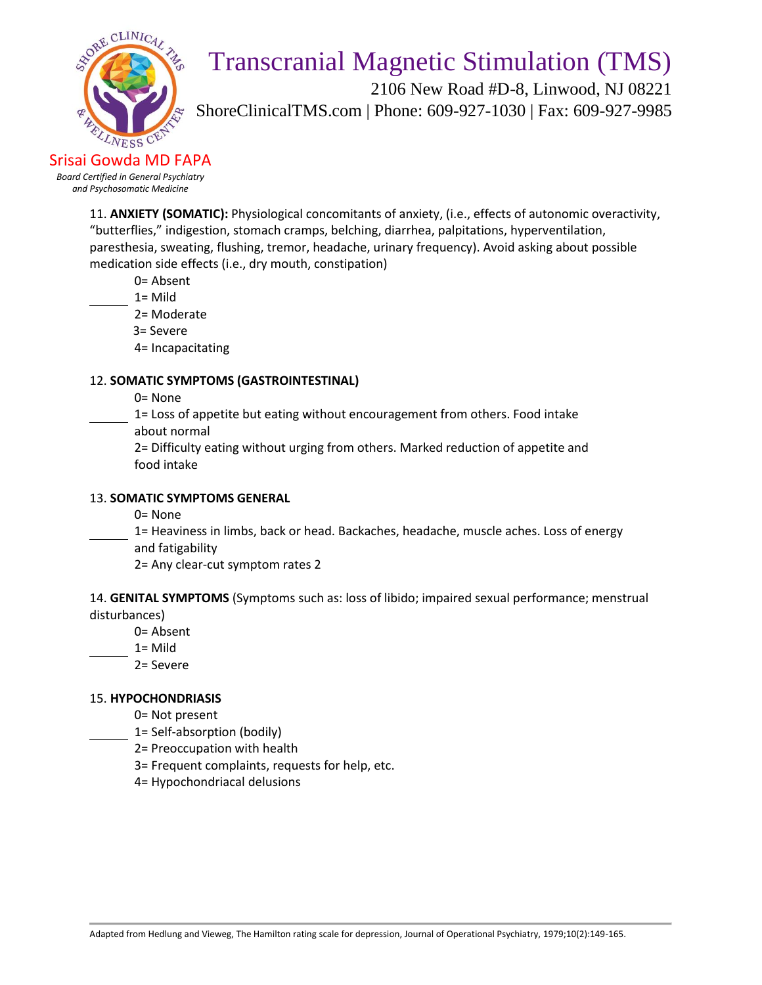

 2106 New Road #D-8, Linwood, NJ 08221 ShoreClinicalTMS.com | Phone: 609-927-1030 | Fax: 609-927-9985

Srisai Gowda MD FAPA *Board Certified in General Psychiatry and Psychosomatic Medicine*

> 11. **ANXIETY (SOMATIC):** Physiological concomitants of anxiety, (i.e., effects of autonomic overactivity, "butterflies," indigestion, stomach cramps, belching, diarrhea, palpitations, hyperventilation, paresthesia, sweating, flushing, tremor, headache, urinary frequency). Avoid asking about possible medication side effects (i.e., dry mouth, constipation)

0= Absent

- 1= Mild
	- 2= Moderate
	- 3= Severe
	- 4= Incapacitating

## 12. **SOMATIC SYMPTOMS (GASTROINTESTINAL)**

- 0= None
- 1= Loss of appetite but eating without encouragement from others. Food intake about normal
- 2= Difficulty eating without urging from others. Marked reduction of appetite and food intake

## 13. **SOMATIC SYMPTOMS GENERAL**

- 0= None
- 1= Heaviness in limbs, back or head. Backaches, headache, muscle aches. Loss of energy and fatigability
	- 2= Any clear-cut symptom rates 2

14. **GENITAL SYMPTOMS** (Symptoms such as: loss of libido; impaired sexual performance; menstrual disturbances)

- 0= Absent
- 1= Mild
	- 2= Severe

## 15. **HYPOCHONDRIASIS**

- 0= Not present
- 1= Self-absorption (bodily)
- 2= Preoccupation with health
- 3= Frequent complaints, requests for help, etc.
- 4= Hypochondriacal delusions